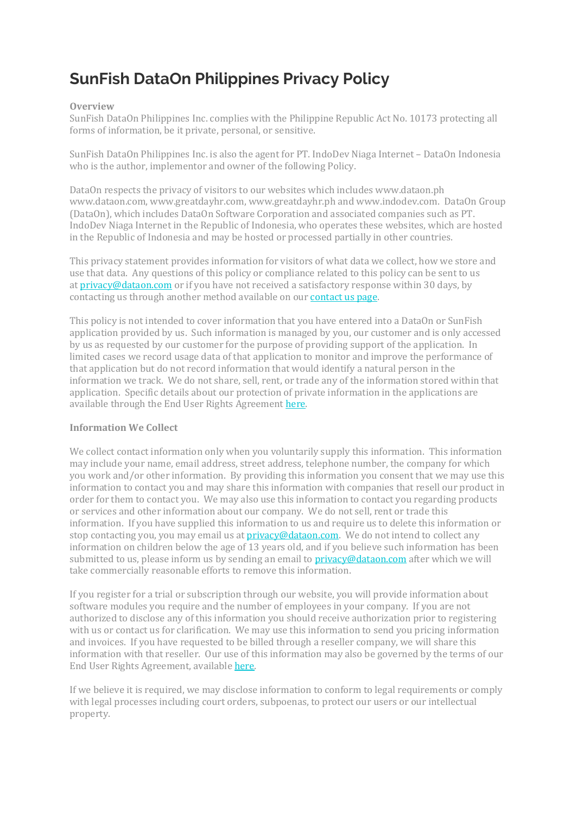# **SunFish DataOn Philippines Privacy Policy**

#### **Overview**

SunFish DataOn Philippines Inc. complies with the Philippine Republic Act No. 10173 protecting all forms of information, be it private, personal, or sensitive.

SunFish DataOn Philippines Inc. is also the agent for PT. IndoDev Niaga Internet – DataOn Indonesia who is the author, implementor and owner of the following Policy.

DataOn respects the privacy of visitors to our websites which includes www.dataon.ph www.dataon.com, www.greatdayhr.com, www.greatdayhr.ph and www.indodev.com. DataOn Group (DataOn), which includes DataOn Software Corporation and associated companies such as PT. IndoDev Niaga Internet in the Republic of Indonesia, who operates these websites, which are hosted in the Republic of Indonesia and may be hosted or processed partially in other countries.

This privacy statement provides information for visitors of what data we collect, how we store and use that data. Any questions of this policy or compliance related to this policy can be sent to us at [privacy@dataon.com](mailto:privacy@dataon.com) or if you have not received a satisfactory response within 30 days, by contacting us through another method available on our [contact](https://www.dataon.com/contact-view/dataon-pt-indodev-niaga-internet/) us page.

This policy is not intended to cover information that you have entered into a DataOn or SunFish application provided by us. Such information is managed by you, our customer and is only accessed by us as requested by our customer for the purpose of providing support of the application. In limited cases we record usage data of that application to monitor and improve the performance of that application but do not record information that would identify a natural person in the information we track. We do not share, sell, rent, or trade any of the information stored within that application. Specific details about our protection of private information in the applications are available through the End User Rights Agreement [here.](https://greatdayhr.ph/eura-2/)

#### **Information We Collect**

We collect contact information only when you voluntarily supply this information. This information may include your name, email address, street address, telephone number, the company for which you work and/or other information. By providing this information you consent that we may use this information to contact you and may share this information with companies that resell our product in order for them to contact you. We may also use this information to contact you regarding products or services and other information about our company. We do not sell, rent or trade this information. If you have supplied this information to us and require us to delete this information or stop contacting you, you may email us at [privacy@dataon.com.](mailto:privacy@dataon.com) We do not intend to collect any information on children below the age of 13 years old, and if you believe such information has been submitted to us, please inform us by sending an email to  $\text{privacy@dataon.com}$  $\text{privacy@dataon.com}$  $\text{privacy@dataon.com}$  after which we will take commercially reasonable efforts to remove this information.

If you register for a trial or subscription through our website, you will provide information about software modules you require and the number of employees in your company. If you are not authorized to disclose any of this information you should receive authorization prior to registering with us or contact us for clarification. We may use this information to send you pricing information and invoices. If you have requested to be billed through a reseller company, we will share this information with that reseller. Our use of this information may also be governed by the terms of our End User Rights Agreement, available [here.](https://greatdayhr.ph/eura-2/)

If we believe it is required, we may disclose information to conform to legal requirements or comply with legal processes including court orders, subpoenas, to protect our users or our intellectual property.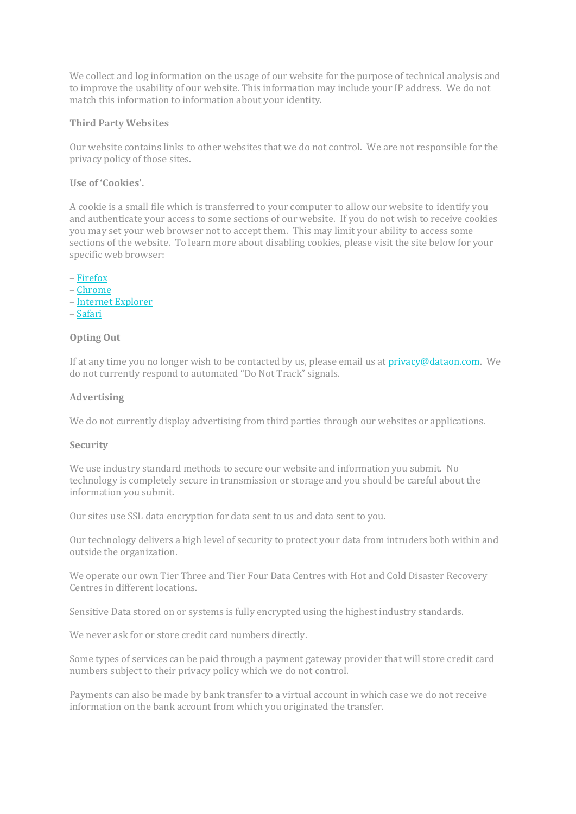We collect and log information on the usage of our website for the purpose of technical analysis and to improve the usability of our website. This information may include your IP address. We do not match this information to information about your identity.

#### **Third Party Websites**

Our website contains links to other websites that we do not control. We are not responsible for the privacy policy of those sites.

#### **Use of 'Cookies'.**

A cookie is a small file which is transferred to your computer to allow our website to identify you and authenticate your access to some sections of our website. If you do not wish to receive cookies you may set your web browser not to accept them. This may limit your ability to access some sections of the website. To learn more about disabling cookies, please visit the site below for your specific web browser:

– [Firefox](https://support.mozilla.org/en-US/kb/enable-and-disable-cookies-website-preferences?redirectlocale=en-US&redirectslug=Enabling+and+disabling+cookies) – [Chrome](https://support.google.com/chrome/answer/95647?hl=en) – Internet [Explorer](http://support.microsoft.com/kb/196955) – [Safari](http://support.apple.com/kb/PH5000?viewlocale=en_US&locale=en_US)

## **Opting Out**

If at any time you no longer wish to be contacted by us, please email us at [privacy@dataon.com.](mailto:privacy@dataon.com) We do not currently respond to automated "Do Not Track" signals.

#### **Advertising**

We do not currently display advertising from third parties through our websites or applications.

#### **Security**

We use industry standard methods to secure our website and information you submit. No technology is completely secure in transmission or storage and you should be careful about the information you submit.

Our sites use SSL data encryption for data sent to us and data sent to you.

Our technology delivers a high level of security to protect your data from intruders both within and outside the organization.

We operate our own Tier Three and Tier Four Data Centres with Hot and Cold Disaster Recovery Centres in different locations.

Sensitive Data stored on or systems is fully encrypted using the highest industry standards.

We never ask for or store credit card numbers directly.

Some types of services can be paid through a payment gateway provider that will store credit card numbers subject to their privacy policy which we do not control.

Payments can also be made by bank transfer to a virtual account in which case we do not receive information on the bank account from which you originated the transfer.